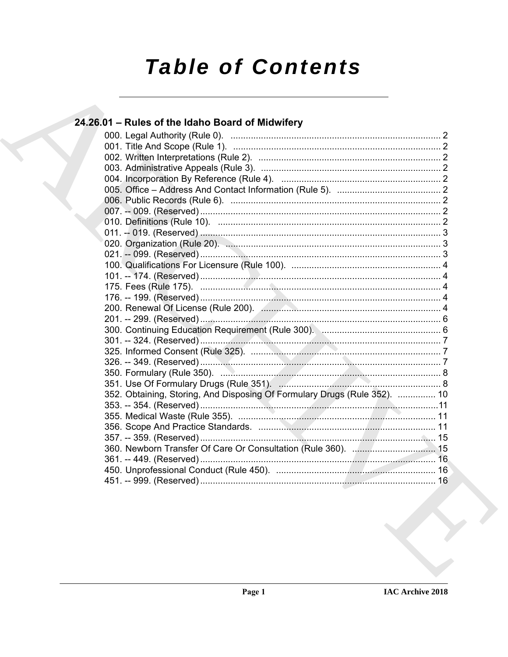# **Table of Contents**

### 24.26.01 - Rules of the Idaho Board of Midwifery 352. Obtaining, Storing, And Disposing Of Formulary Drugs (Rule 352). ............... 10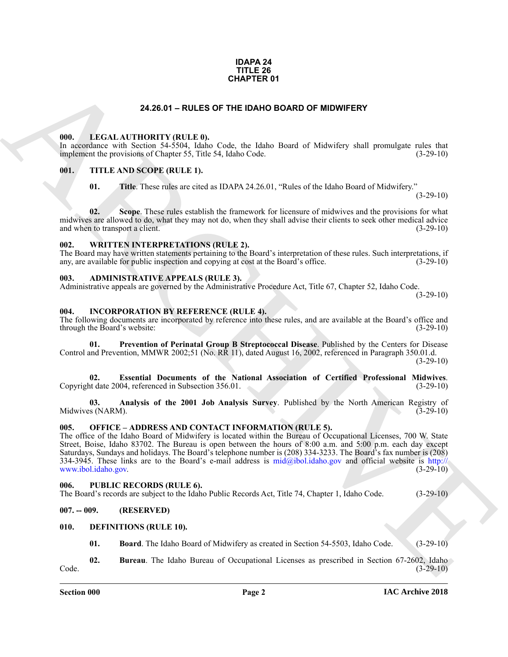### **IDAPA 24 TITLE 26 CHAPTER 01**

### **24.26.01 – RULES OF THE IDAHO BOARD OF MIDWIFERY**

### <span id="page-1-18"></span><span id="page-1-1"></span><span id="page-1-0"></span>**000. LEGAL AUTHORITY (RULE 0).**

In accordance with Section 54-5504, Idaho Code, the Idaho Board of Midwifery shall promulgate rules that implement the provisions of Chapter 55, Title 54, Idaho Code. (3-29-10)

### <span id="page-1-2"></span>**001. TITLE AND SCOPE (RULE 1).**

<span id="page-1-21"></span>**01. Title**. These rules are cited as IDAPA 24.26.01, "Rules of the Idaho Board of Midwifery."

(3-29-10)

**02. Scope**. These rules establish the framework for licensure of midwives and the provisions for what midwives are allowed to do, what they may not do, when they shall advise their clients to seek other medical advice and when to transport a client. (3-29-10)

### <span id="page-1-22"></span><span id="page-1-3"></span>**002. WRITTEN INTERPRETATIONS (RULE 2).**

The Board may have written statements pertaining to the Board's interpretation of these rules. Such interpretations, if any, are available for public inspection and copying at cost at the Board's office. (3-29-10)

### <span id="page-1-10"></span><span id="page-1-4"></span>**003. ADMINISTRATIVE APPEALS (RULE 3).**

Administrative appeals are governed by the Administrative Procedure Act, Title 67, Chapter 52, Idaho Code.  $(3-29-10)$ 

### <span id="page-1-14"></span><span id="page-1-5"></span>**004. INCORPORATION BY REFERENCE (RULE 4).**

The following documents are incorporated by reference into these rules, and are available at the Board's office and through the Board's website: (3-29-10)

<span id="page-1-17"></span>**01. Prevention of Perinatal Group B Streptococcal Disease**. Published by the Centers for Disease Control and Prevention, MMWR 2002;51 (No. RR 11), dated August 16, 2002, referenced in Paragraph 350.01.d.  $(3-29-10)$ 

<span id="page-1-16"></span>**02. Essential Documents of the National Association of Certified Professional Midwives**. Copyright date 2004, referenced in Subsection 356.01.

<span id="page-1-15"></span>**03. Analysis of the 2001 Job Analysis Survey**. Published by the North American Registry of Midwives (NARM).

### <span id="page-1-19"></span><span id="page-1-6"></span>**005. OFFICE – ADDRESS AND CONTACT INFORMATION (RULE 5).**

**24.26.01 - RUL[E](http://www.ibol.idaho.gov)S OF THE IDANTO SOARD OF MIDWIFERY**<br>
(In . IF CALL ATTITUDENTY (RIILE 0, THE DANTO SOARD OF MIDWIFERY<br>
In . TITLE AND SCORE (MLE II, then . Cape the Library last of Midwifery state manipulate mixes for<br>
in The office of the Idaho Board of Midwifery is located within the Bureau of Occupational Licenses, 700 W. State Street, Boise, Idaho 83702. The Bureau is open between the hours of 8:00 a.m. and 5:00 p.m. each day except Saturdays, Sundays and holidays. The Board's telephone number is (208) 334-3233. The Board's fax number is (208) 334-3945. These links are to the Board's e-mail address is  $mid@ibol.idaho.gov$  and official website is http://<br>www.ibol.idaho.gov. (3-29-10) www.ibol.idaho.gov.

### <span id="page-1-20"></span><span id="page-1-7"></span>**006. PUBLIC RECORDS (RULE 6).**

The Board's records are subject to the Idaho Public Records Act, Title 74, Chapter 1, Idaho Code. (3-29-10)

### <span id="page-1-8"></span>**007. -- 009. (RESERVED)**

### <span id="page-1-9"></span>**010. DEFINITIONS (RULE 10).**

<span id="page-1-13"></span><span id="page-1-12"></span><span id="page-1-11"></span>**01. Board**. The Idaho Board of Midwifery as created in Section 54-5503, Idaho Code. (3-29-10)

**02.** Bureau. The Idaho Bureau of Occupational Licenses as prescribed in Section 67-2602, Idaho (3-29-10) Code. (3-29-10)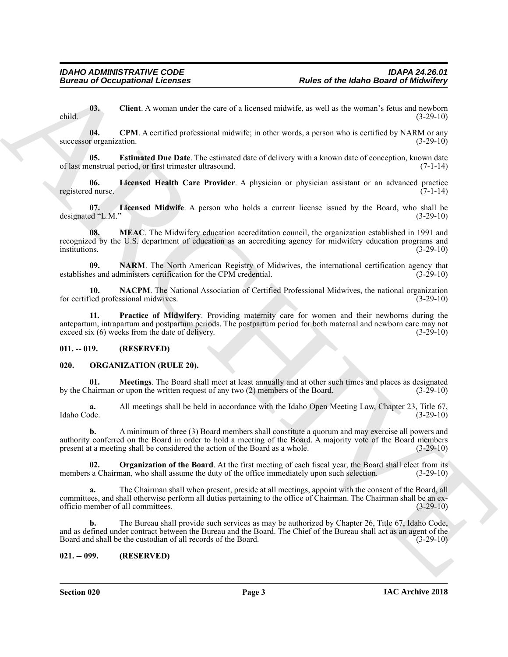<span id="page-2-3"></span>**03. Client**. A woman under the care of a licensed midwife, as well as the woman's fetus and newborn child. (3-29-10)

<span id="page-2-4"></span>**04. CPM**. A certified professional midwife; in other words, a person who is certified by NARM or any successor organization. (3-29-10)

<span id="page-2-5"></span>**05. Estimated Due Date**. The estimated date of delivery with a known date of conception, known date of last menstrual period, or first trimester ultrasound. (7-1-14)

<span id="page-2-6"></span>**06.** Licensed Health Care Provider. A physician or physician assistant or an advanced practice d nurse. (7-1-14) registered nurse.

<span id="page-2-7"></span>**07. Licensed Midwife**. A person who holds a current license issued by the Board, who shall be designated "L.M." (3-29-10)

<span id="page-2-8"></span>**08. MEAC**. The Midwifery education accreditation council, the organization established in 1991 and recognized by the U.S. department of education as an accrediting agency for midwifery education programs and institutions. (3-29-10)

<span id="page-2-10"></span>**09. NARM**. The North American Registry of Midwives, the international certification agency that es and administers certification for the CPM credential. (3-29-10) establishes and administers certification for the CPM credential.

<span id="page-2-9"></span>**10. NACPM**. The National Association of Certified Professional Midwives, the national organization ied professional midwives. (3-29-10) for certified professional midwives.

<span id="page-2-11"></span>**11. Practice of Midwifery**. Providing maternity care for women and their newborns during the antepartum, intrapartum and postpartum periods. The postpartum period for both maternal and newborn care may not exceed six  $(6)$  weeks from the date of delivery.

### <span id="page-2-0"></span>**011. -- 019. (RESERVED)**

### <span id="page-2-12"></span><span id="page-2-1"></span>**020. ORGANIZATION (RULE 20).**

<span id="page-2-13"></span>**01. Meetings**. The Board shall meet at least annually and at other such times and places as designated by the Chairman or upon the written request of any two (2) members of the Board. (3-29-10)

**a.** All meetings shall be held in accordance with the Idaho Open Meeting Law, Chapter 23, Title 67, Idaho Code.  $(3-29-10)$ Idaho Code. (3-29-10)

**Europa of Decaysinomi Licenses**<br> **Europa of the Island Board of Medicine Transformer Control in the Island Science of the Island Science of the ISBN 1970-1970<br>
The Control of the Control of the Control of the Control of b.** A minimum of three (3) Board members shall constitute a quorum and may exercise all powers and authority conferred on the Board in order to hold a meeting of the Board. A majority vote of the Board members present at a meeting shall be considered the action of the Board as a whole. (3-29-10)

<span id="page-2-14"></span>**02. Organization of the Board**. At the first meeting of each fiscal year, the Board shall elect from its a Chairman, who shall assume the duty of the office immediately upon such selection. (3-29-10) members a Chairman, who shall assume the duty of the office immediately upon such selection.

**a.** The Chairman shall when present, preside at all meetings, appoint with the consent of the Board, all committees, and shall otherwise perform all duties pertaining to the office of Chairman. The Chairman shall be an ex-<br>officio member of all committees. (3-29-10) officio member of all committees.

**b.** The Bureau shall provide such services as may be authorized by Chapter 26, Title 67, Idaho Code, and as defined under contract between the Bureau and the Board. The Chief of the Bureau shall act as an agent of the Board and shall be the custodian of all records of the Board. (3-29-10)

### <span id="page-2-2"></span>**021. -- 099. (RESERVED)**

**Section 020 Page 3**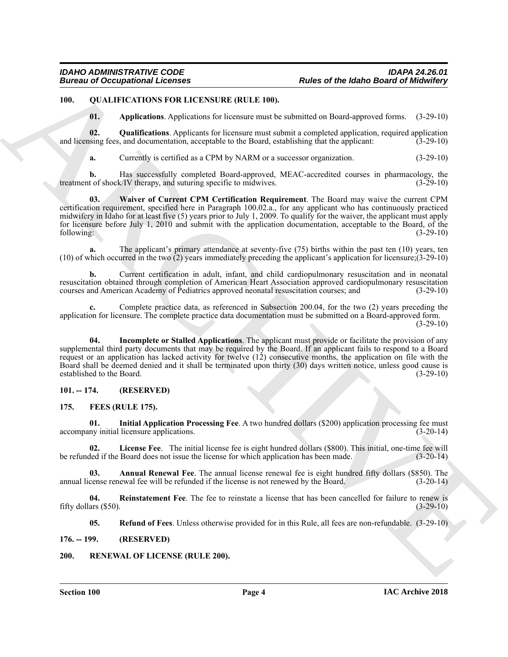### <span id="page-3-0"></span>**100. QUALIFICATIONS FOR LICENSURE (RULE 100).**

<span id="page-3-14"></span><span id="page-3-12"></span><span id="page-3-11"></span>**01. Applications**. Applications for licensure must be submitted on Board-approved forms. (3-29-10)

**02. Qualifications**. Applicants for licensure must submit a completed application, required application and licensing fees, and documentation, acceptable to the Board, establishing that the applicant: (3-29-10)

<span id="page-3-15"></span>**a.** Currently is certified as a CPM by NARM or a successor organization. (3-29-10)

**b.** Has successfully completed Board-approved, MEAC-accredited courses in pharmacology, the t of shock/IV therapy, and suturing specific to midwives. (3-29-10) treatment of shock/IV therapy, and suturing specific to midwives.

**Europa of Occupational Licences<br>
19. Control Licences Archives (RL LE 100).**<br>
19. Control Licences Archives Control Licences and the same sharehold of Figure Control Control Control Control Control Control Control Contro **03. Waiver of Current CPM Certification Requirement**. The Board may waive the current CPM certification requirement, specified here in Paragraph 100.02.a., for any applicant who has continuously practiced midwifery in Idaho for at least five (5) years prior to July 1, 2009. To qualify for the waiver, the applicant must apply for licensure before July 1, 2010 and submit with the application documentation, acceptable to the Board, of the following:<br>
(3-29-10) following: (3-29-10)

**a.** The applicant's primary attendance at seventy-five (75) births within the past ten (10) years, ten (10) of which occurred in the two (2) years immediately preceding the applicant's application for licensure;(3-29-10)

**b.** Current certification in adult, infant, and child cardiopulmonary resuscitation and in neonatal resuscitation obtained through completion of American Heart Association approved cardiopulmonary resuscitation courses and American Academy of Pediatrics approved neonatal resuscitation courses; and (3-29-10)

**c.** Complete practice data, as referenced in Subsection 200.04, for the two (2) years preceding the application for licensure. The complete practice data documentation must be submitted on a Board-approved form.  $(3-29-10)$ 

<span id="page-3-13"></span>**04. Incomplete or Stalled Applications**. The applicant must provide or facilitate the provision of any supplemental third party documents that may be required by the Board. If an applicant fails to respond to a Board request or an application has lacked activity for twelve (12) consecutive months, the application on file with the Board shall be deemed denied and it shall be terminated upon thirty (30) days written notice, unless good cause is established to the Board. (3-29-10)

### <span id="page-3-1"></span>**101. -- 174. (RESERVED)**

### <span id="page-3-7"></span><span id="page-3-5"></span><span id="page-3-2"></span>**175. FEES (RULE 175).**

**01. Initial Application Processing Fee**. A two hundred dollars (\$200) application processing fee must accompany initial licensure applications. (3-20-14)

<span id="page-3-8"></span>**02. License Fee**. The initial license fee is eight hundred dollars (\$800). This initial, one-time fee will be refunded if the Board does not issue the license for which application has been made. (3-20-14)

<span id="page-3-6"></span>**03. Annual Renewal Fee**. The annual license renewal fee is eight hundred fifty dollars (\$850). The annual license renewal fee will be refunded if the license is not renewed by the Board. (3-20-14)

**04.** Reinstatement Fee. The fee to reinstate a license that has been cancelled for failure to renew is ars (\$50). (3-29-10) fifty dollars  $(\$50)$ .

<span id="page-3-16"></span><span id="page-3-10"></span><span id="page-3-9"></span>**05. Refund of Fees**. Unless otherwise provided for in this Rule, all fees are non-refundable. (3-29-10)

<span id="page-3-3"></span>**176. -- 199. (RESERVED)**

### <span id="page-3-4"></span>**200. RENEWAL OF LICENSE (RULE 200).**

**Section 100 Page 4**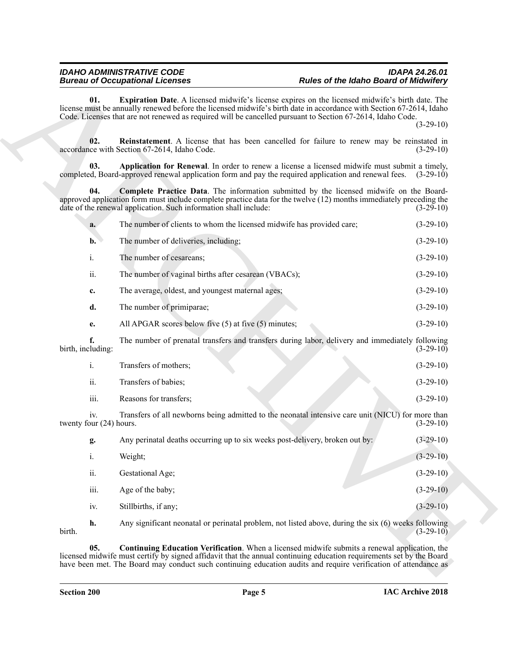<span id="page-4-4"></span><span id="page-4-3"></span><span id="page-4-2"></span><span id="page-4-1"></span><span id="page-4-0"></span>

|                                | <b>Bureau of Occupational Licenses</b>                                                                                                                                                                                                                                                                                                          | <b>Rules of the Idaho Board of Midwifery</b> |             |
|--------------------------------|-------------------------------------------------------------------------------------------------------------------------------------------------------------------------------------------------------------------------------------------------------------------------------------------------------------------------------------------------|----------------------------------------------|-------------|
| 01.                            | Expiration Date. A licensed midwife's license expires on the licensed midwife's birth date. The<br>license must be annually renewed before the licensed midwife's birth date in accordance with Section 67-2614, Idaho<br>Code. Licenses that are not renewed as required will be cancelled pursuant to Section 67-2614, Idaho Code.            |                                              | $(3-29-10)$ |
| 02.                            | Reinstatement. A license that has been cancelled for failure to renew may be reinstated in<br>accordance with Section 67-2614, Idaho Code.                                                                                                                                                                                                      |                                              | $(3-29-10)$ |
| 03.                            | Application for Renewal. In order to renew a license a licensed midwife must submit a timely,<br>completed, Board-approved renewal application form and pay the required application and renewal fees. (3-29-10)                                                                                                                                |                                              |             |
| 04.                            | Complete Practice Data. The information submitted by the licensed midwife on the Board-<br>approved application form must include complete practice data for the twelve (12) months immediately preceding the<br>date of the renewal application. Such information shall include:                                                               |                                              | $(3-29-10)$ |
| a.                             | The number of clients to whom the licensed midwife has provided care;                                                                                                                                                                                                                                                                           |                                              | $(3-29-10)$ |
| $\mathbf{b}$ .                 | The number of deliveries, including;                                                                                                                                                                                                                                                                                                            |                                              | $(3-29-10)$ |
| i.                             | The number of cesareans;                                                                                                                                                                                                                                                                                                                        |                                              | $(3-29-10)$ |
| ii.                            | The number of vaginal births after cesarean (VBACs);                                                                                                                                                                                                                                                                                            |                                              | $(3-29-10)$ |
| c.                             | The average, oldest, and youngest maternal ages;                                                                                                                                                                                                                                                                                                |                                              | $(3-29-10)$ |
| d.                             | The number of primiparae;                                                                                                                                                                                                                                                                                                                       |                                              | $(3-29-10)$ |
| e.                             | All APGAR scores below five $(5)$ at five $(5)$ minutes;                                                                                                                                                                                                                                                                                        |                                              | $(3-29-10)$ |
| f.<br>birth, including:        | The number of prenatal transfers and transfers during labor, delivery and immediately following                                                                                                                                                                                                                                                 |                                              | $(3-29-10)$ |
| i.                             | Transfers of mothers;                                                                                                                                                                                                                                                                                                                           |                                              | $(3-29-10)$ |
| ii.                            | Transfers of babies;                                                                                                                                                                                                                                                                                                                            |                                              | $(3-29-10)$ |
| iii.                           | Reasons for transfers;                                                                                                                                                                                                                                                                                                                          |                                              | $(3-29-10)$ |
| iv.<br>twenty four (24) hours. | Transfers of all newborns being admitted to the neonatal intensive care unit (NICU) for more than                                                                                                                                                                                                                                               |                                              | $(3-29-10)$ |
| g.                             | Any perinatal deaths occurring up to six weeks post-delivery, broken out by:                                                                                                                                                                                                                                                                    |                                              | $(3-29-10)$ |
| $\mathrm{i}.$                  | Weight;                                                                                                                                                                                                                                                                                                                                         |                                              | $(3-29-10)$ |
| ii.                            | Gestational Age;                                                                                                                                                                                                                                                                                                                                |                                              | $(3-29-10)$ |
| iii.                           | Age of the baby;                                                                                                                                                                                                                                                                                                                                |                                              | $(3-29-10)$ |
| iv.                            | Stillbirths, if any;                                                                                                                                                                                                                                                                                                                            |                                              | $(3-29-10)$ |
| h.<br>birth.                   | Any significant neonatal or perinatal problem, not listed above, during the six (6) weeks following                                                                                                                                                                                                                                             |                                              | $(3-29-10)$ |
| 05.                            | <b>Continuing Education Verification.</b> When a licensed midwife submits a renewal application, the<br>licensed midwife must certify by signed affidavit that the annual continuing education requirements set by the Board<br>have been met. The Board may conduct such continuing education audits and require verification of attendance as |                                              |             |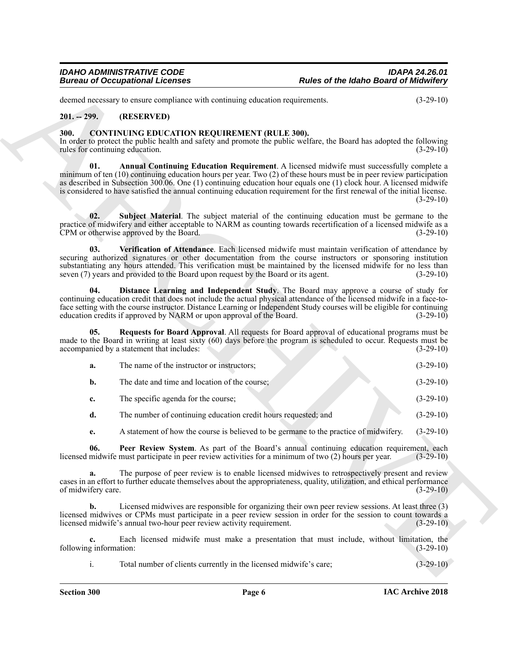### <span id="page-5-0"></span>**201. -- 299. (RESERVED)**

### <span id="page-5-8"></span><span id="page-5-7"></span><span id="page-5-6"></span><span id="page-5-5"></span><span id="page-5-4"></span><span id="page-5-3"></span><span id="page-5-2"></span><span id="page-5-1"></span>**300. CONTINUING EDUCATION REQUIREMENT (RULE 300).**

|                                         | <b>Bureau of Occupational Licenses</b>                                                                                                                                                                                                                                                                                                                                                                                                                                  | <b>Rules of the Idaho Board of Midwifery</b> |             |
|-----------------------------------------|-------------------------------------------------------------------------------------------------------------------------------------------------------------------------------------------------------------------------------------------------------------------------------------------------------------------------------------------------------------------------------------------------------------------------------------------------------------------------|----------------------------------------------|-------------|
|                                         | deemed necessary to ensure compliance with continuing education requirements.                                                                                                                                                                                                                                                                                                                                                                                           |                                              | $(3-29-10)$ |
| $201. - 299.$                           | (RESERVED)                                                                                                                                                                                                                                                                                                                                                                                                                                                              |                                              |             |
| 300.<br>rules for continuing education. | <b>CONTINUING EDUCATION REQUIREMENT (RULE 300).</b><br>In order to protect the public health and safety and promote the public welfare, the Board has adopted the following                                                                                                                                                                                                                                                                                             |                                              | $(3-29-10)$ |
| 01.                                     | Annual Continuing Education Requirement. A licensed midwife must successfully complete a<br>minimum of ten $(10)$ continuing education hours per year. Two $(2)$ of these hours must be in peer review participation<br>as described in Subsection 300.06. One (1) continuing education hour equals one (1) clock hour. A licensed midwife<br>is considered to have satisfied the annual continuing education requirement for the first renewal of the initial license. |                                              | $(3-29-10)$ |
| 02.                                     | Subject Material. The subject material of the continuing education must be germane to the<br>practice of midwifery and either acceptable to NARM as counting towards recertification of a licensed midwife as a<br>CPM or otherwise approved by the Board.                                                                                                                                                                                                              |                                              | $(3-29-10)$ |
| 03.                                     | Verification of Attendance. Each licensed midwife must maintain verification of attendance by<br>securing authorized signatures or other documentation from the course instructors or sponsoring institution<br>substantiating any hours attended. This verification must be maintained by the licensed midwife for no less than<br>seven (7) years and provided to the Board upon request by the Board or its agent.                                                   |                                              | $(3-29-10)$ |
| 04.                                     | Distance Learning and Independent Study. The Board may approve a course of study for<br>continuing education credit that does not include the actual physical attendance of the licensed midwife in a face-to-<br>face setting with the course instructor. Distance Learning or Independent Study courses will be eligible for continuing<br>education credits if approved by NARM or upon approval of the Board.                                                       |                                              | $(3-29-10)$ |
| 05.                                     | Requests for Board Approval. All requests for Board approval of educational programs must be<br>made to the Board in writing at least sixty (60) days before the program is scheduled to occur. Requests must be<br>accompanied by a statement that includes:                                                                                                                                                                                                           |                                              | $(3-29-10)$ |
| a.                                      | The name of the instructor or instructors;                                                                                                                                                                                                                                                                                                                                                                                                                              |                                              | $(3-29-10)$ |
| $\mathbf{b}$ .                          | The date and time and location of the course;                                                                                                                                                                                                                                                                                                                                                                                                                           |                                              | $(3-29-10)$ |
| c.                                      | The specific agenda for the course;                                                                                                                                                                                                                                                                                                                                                                                                                                     |                                              | $(3-29-10)$ |
| d.                                      | The number of continuing education credit hours requested; and                                                                                                                                                                                                                                                                                                                                                                                                          |                                              | $(3-29-10)$ |
| e.                                      | A statement of how the course is believed to be germane to the practice of midwifery.                                                                                                                                                                                                                                                                                                                                                                                   |                                              | $(3-29-10)$ |
| 06.                                     | Peer Review System. As part of the Board's annual continuing education requirement, each<br>licensed midwife must participate in peer review activities for a minimum of two (2) hours per year.                                                                                                                                                                                                                                                                        |                                              | $(3-29-10)$ |
| a.<br>of midwifery care.                | The purpose of peer review is to enable licensed midwives to retrospectively present and review<br>cases in an effort to further educate themselves about the appropriateness, quality, utilization, and ethical performance                                                                                                                                                                                                                                            |                                              | $(3-29-10)$ |
| b.                                      | Licensed midwives are responsible for organizing their own peer review sessions. At least three (3)<br>licensed midwives or CPMs must participate in a peer review session in order for the session to count towards a<br>licensed midwife's annual two-hour peer review activity requirement.                                                                                                                                                                          |                                              | $(3-29-10)$ |
| c.<br>following information:            | Each licensed midwife must make a presentation that must include, without limitation, the                                                                                                                                                                                                                                                                                                                                                                               |                                              | $(3-29-10)$ |
|                                         |                                                                                                                                                                                                                                                                                                                                                                                                                                                                         |                                              |             |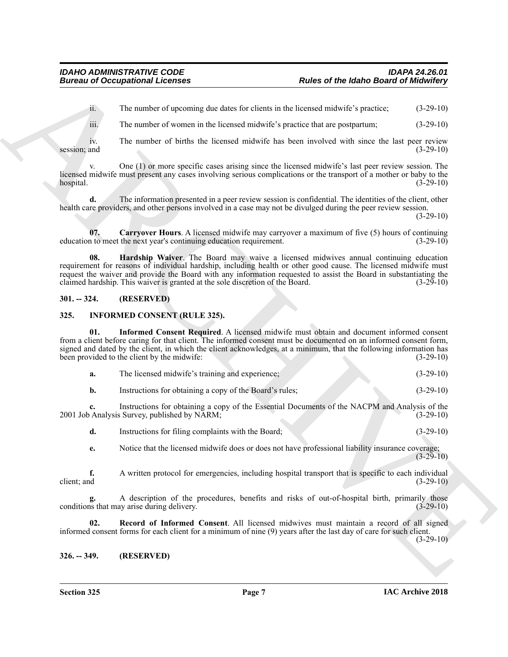ii. The number of upcoming due dates for clients in the licensed midwife's practice; (3-29-10)

iii. The number of women in the licensed midwife's practice that are postpartum; (3-29-10)

iv. The number of births the licensed midwife has been involved with since the last peer review<br>(3-29-10) session; and  $(3-29-10)$ 

v. One (1) or more specific cases arising since the licensed midwife's last peer review session. The licensed midwife must present any cases involving serious complications or the transport of a mother or baby to the hospital. (3-29-10)

**d.** The information presented in a peer review session is confidential. The identities of the client, other health care providers, and other persons involved in a case may not be divulged during the peer review session.

 $(3-29-10)$ 

<span id="page-6-4"></span><span id="page-6-3"></span>**07. Carryover Hours**. A licensed midwife may carryover a maximum of five (5) hours of continuing education to meet the next year's continuing education requirement. (3-29-10)

**Eures and Occupational Licenses**<br>
in The mather of the same of sixted for claims in the biometric and the same of the same of the same of the same of the same of the same of the same of the same of the same of the same o **08. Hardship Waiver**. The Board may waive a licensed midwives annual continuing education requirement for reasons of individual hardship, including health or other good cause. The licensed midwife must request the waiver and provide the Board with any information requested to assist the Board in substantiating the claimed hardship. This waiver is granted at the sole discretion of the Board. (3-29-10) claimed hardship. This waiver is granted at the sole discretion of the Board.

### <span id="page-6-0"></span>**301. -- 324. (RESERVED)**

### <span id="page-6-5"></span><span id="page-6-1"></span>**325. INFORMED CONSENT (RULE 325).**

**01. Informed Consent Required**. A licensed midwife must obtain and document informed consent from a client before caring for that client. The informed consent must be documented on an informed consent form, signed and dated by the client, in which the client acknowledges, at a minimum, that the following information has been provided to the client by the midwife: (3-29-10)

<span id="page-6-6"></span>

| а. | The licensed midwife's training and experience: | $(3-29-10)$ |
|----|-------------------------------------------------|-------------|
|----|-------------------------------------------------|-------------|

**b.** Instructions for obtaining a copy of the Board's rules; (3-29-10)

**c.** Instructions for obtaining a copy of the Essential Documents of the NACPM and Analysis of the 2001 Job Analysis Survey, published by NARM; (3-29-10)

**d.** Instructions for filing complaints with the Board; (3-29-10)

**e.** Notice that the licensed midwife does or does not have professional liability insurance coverage;  $(3-29-10)$ 

**f.** A written protocol for emergencies, including hospital transport that is specific to each individual client; and (3-29-10)

A description of the procedures, benefits and risks of out-of-hospital birth, primarily those ay arise during delivery. (3-29-10) conditions that may arise during delivery.

<span id="page-6-7"></span>**02. Record of Informed Consent**. All licensed midwives must maintain a record of all signed informed consent forms for each client for a minimum of nine (9) years after the last day of care for such client.  $(3-29-10)$ 

<span id="page-6-2"></span>**326. -- 349. (RESERVED)**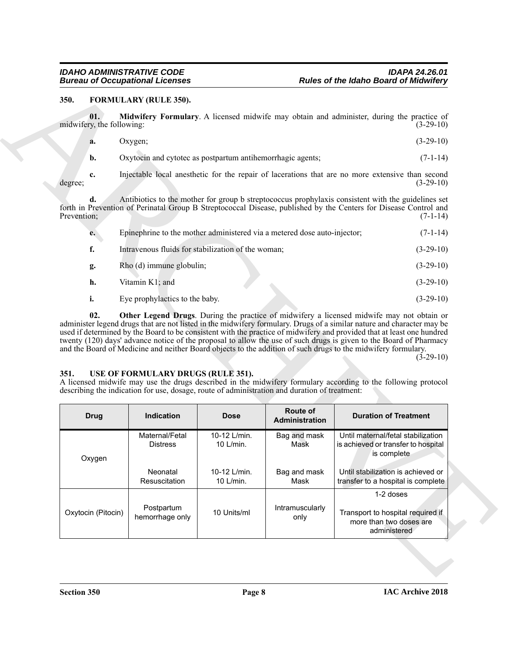### <span id="page-7-2"></span><span id="page-7-0"></span>**350. FORMULARY (RULE 350).**

<span id="page-7-3"></span>

| Oxygen;                                                    | $(3-29-10)$ |
|------------------------------------------------------------|-------------|
| Oxytocin and cytotec as postpartum antihemorrhagic agents; | $(7-1-14)$  |

<span id="page-7-4"></span>

| e. | Epinephrine to the mother administered via a metered dose auto-injector; | $(7-1-14)$  |
|----|--------------------------------------------------------------------------|-------------|
| f. | Intravenous fluids for stabilization of the woman;                       | $(3-29-10)$ |
| g. | Rho (d) immune globulin;                                                 | $(3-29-10)$ |
| h. | Vitamin K1; and                                                          | $(3-29-10)$ |
|    | Eye prophylactics to the baby.                                           | $(3-29-10)$ |

### $(3-29-10)$

### <span id="page-7-5"></span><span id="page-7-1"></span>**351. USE OF FORMULARY DRUGS (RULE 351).**

| 350.        |                                  | FORMULARY (RULE 350).                                                                                                               |                           |                                                                                                                                                                                                                                      |                                                                                                                                                                                                                                                                                                                                                                                                                                                                                                                                                                                      |  |
|-------------|----------------------------------|-------------------------------------------------------------------------------------------------------------------------------------|---------------------------|--------------------------------------------------------------------------------------------------------------------------------------------------------------------------------------------------------------------------------------|--------------------------------------------------------------------------------------------------------------------------------------------------------------------------------------------------------------------------------------------------------------------------------------------------------------------------------------------------------------------------------------------------------------------------------------------------------------------------------------------------------------------------------------------------------------------------------------|--|
|             | 01.<br>midwifery, the following: |                                                                                                                                     |                           |                                                                                                                                                                                                                                      | Midwifery Formulary. A licensed midwife may obtain and administer, during the practice of<br>$(3-29-10)$                                                                                                                                                                                                                                                                                                                                                                                                                                                                             |  |
|             | a.                               | Oxygen;                                                                                                                             |                           |                                                                                                                                                                                                                                      | $(3-29-10)$                                                                                                                                                                                                                                                                                                                                                                                                                                                                                                                                                                          |  |
|             | b.                               | Oxytocin and cytotec as postpartum antihemorrhagic agents;                                                                          |                           |                                                                                                                                                                                                                                      | $(7-1-14)$                                                                                                                                                                                                                                                                                                                                                                                                                                                                                                                                                                           |  |
| degree;     | c.                               |                                                                                                                                     |                           |                                                                                                                                                                                                                                      | Injectable local anesthetic for the repair of lacerations that are no more extensive than second<br>$(3-29-10)$                                                                                                                                                                                                                                                                                                                                                                                                                                                                      |  |
| Prevention; | d.                               |                                                                                                                                     |                           | Antibiotics to the mother for group b streptococcus prophylaxis consistent with the guidelines set<br>forth in Prevention of Perinatal Group B Streptococcal Disease, published by the Centers for Disease Control and<br>$(7-1-14)$ |                                                                                                                                                                                                                                                                                                                                                                                                                                                                                                                                                                                      |  |
|             | e.                               | Epinephrine to the mother administered via a metered dose auto-injector;                                                            |                           |                                                                                                                                                                                                                                      | $(7-1-14)$                                                                                                                                                                                                                                                                                                                                                                                                                                                                                                                                                                           |  |
|             | f.                               | Intravenous fluids for stabilization of the woman;                                                                                  |                           |                                                                                                                                                                                                                                      | $(3-29-10)$                                                                                                                                                                                                                                                                                                                                                                                                                                                                                                                                                                          |  |
|             | g.                               | Rho (d) immune globulin;                                                                                                            |                           |                                                                                                                                                                                                                                      | $(3-29-10)$                                                                                                                                                                                                                                                                                                                                                                                                                                                                                                                                                                          |  |
|             | h.                               | Vitamin K1; and                                                                                                                     |                           |                                                                                                                                                                                                                                      | $(3-29-10)$                                                                                                                                                                                                                                                                                                                                                                                                                                                                                                                                                                          |  |
|             | i.                               | Eye prophylactics to the baby.                                                                                                      |                           |                                                                                                                                                                                                                                      | $(3-29-10)$                                                                                                                                                                                                                                                                                                                                                                                                                                                                                                                                                                          |  |
|             | 02.                              |                                                                                                                                     |                           |                                                                                                                                                                                                                                      | Other Legend Drugs. During the practice of midwifery a licensed midwife may not obtain or<br>administer legend drugs that are not listed in the midwifery formulary. Drugs of a similar nature and character may be<br>used if determined by the Board to be consistent with the practice of midwifery and provided that at least one hundred<br>twenty (120) days' advance notice of the proposal to allow the use of such drugs is given to the Board of Pharmacy<br>and the Board of Medicine and neither Board objects to the addition of such drugs to the midwifery formulary. |  |
|             |                                  | USE OF FORMULARY DRUGS (RULE 351).<br>describing the indication for use, dosage, route of administration and duration of treatment: |                           |                                                                                                                                                                                                                                      | $(3-29-10)$<br>A licensed midwife may use the drugs described in the midwifery formulary according to the following protocol                                                                                                                                                                                                                                                                                                                                                                                                                                                         |  |
| 351.        | <b>Drug</b>                      | Indication                                                                                                                          | <b>Dose</b>               | Route of<br>Administration                                                                                                                                                                                                           | <b>Duration of Treatment</b>                                                                                                                                                                                                                                                                                                                                                                                                                                                                                                                                                         |  |
|             | Oxygen                           | Maternal/Fetal<br><b>Distress</b>                                                                                                   | 10-12 L/min.<br>10 L/min. | Bag and mask<br>Mask                                                                                                                                                                                                                 | Until maternal/fetal stabilization<br>is achieved or transfer to hospital<br>is complete                                                                                                                                                                                                                                                                                                                                                                                                                                                                                             |  |
|             |                                  | Neonatal<br>Resuscitation                                                                                                           | 10-12 L/min.<br>10 L/min. | Bag and mask<br>Mask                                                                                                                                                                                                                 | Until stabilization is achieved or<br>transfer to a hospital is complete                                                                                                                                                                                                                                                                                                                                                                                                                                                                                                             |  |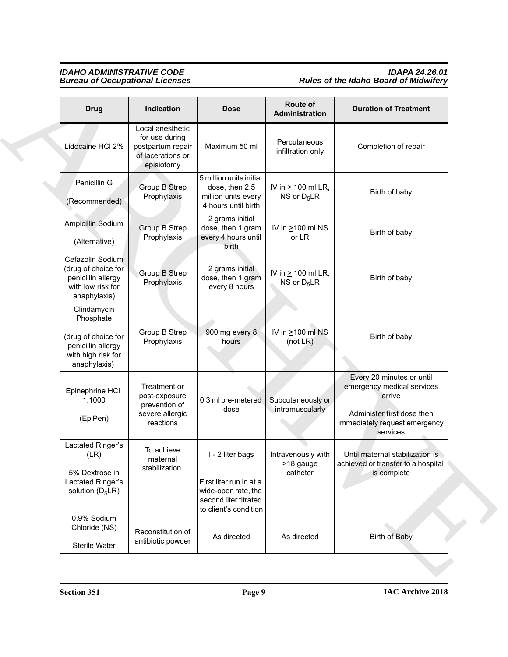### *IDAHO ADMINISTRATIVE CODE IDAPA 24.26.01 Bureau of Occupational Licenses Rules of the Idaho Board of Midwifery*

| <b>Drug</b>                                                                                                 | Indication                                                                                 | <b>Dose</b>                                                                                                          | Route of<br>Administration                        | <b>Duration of Treatment</b>                                                                                                                 |
|-------------------------------------------------------------------------------------------------------------|--------------------------------------------------------------------------------------------|----------------------------------------------------------------------------------------------------------------------|---------------------------------------------------|----------------------------------------------------------------------------------------------------------------------------------------------|
| Lidocaine HCI 2%                                                                                            | Local anesthetic<br>for use during<br>postpartum repair<br>of lacerations or<br>episiotomy | Maximum 50 ml                                                                                                        | Percutaneous<br>infiltration only                 | Completion of repair                                                                                                                         |
| Penicillin G<br>(Recommended)                                                                               | Group B Strep<br>Prophylaxis                                                               | 5 million units initial<br>dose, then 2.5<br>million units every<br>4 hours until birth                              | IV in $\geq$ 100 ml LR,<br>NS or $D_5LR$          | Birth of baby                                                                                                                                |
| Ampicillin Sodium<br>(Alternative)                                                                          | Group B Strep<br>Prophylaxis                                                               | 2 grams initial<br>dose, then 1 gram<br>every 4 hours until<br>birth                                                 | IV in $\geq 100$ ml NS<br>or LR                   | Birth of baby                                                                                                                                |
| Cefazolin Sodium<br>(drug of choice for<br>penicillin allergy<br>with low risk for<br>anaphylaxis)          | Group B Strep<br>Prophylaxis                                                               | 2 grams initial<br>dose, then 1 gram<br>every 8 hours                                                                | IV in $\geq$ 100 ml LR,<br>NS or $D_5LR$          | Birth of baby                                                                                                                                |
| Clindamycin<br>Phosphate<br>(drug of choice for<br>penicillin allergy<br>with high risk for<br>anaphylaxis) | Group B Strep<br>Prophylaxis                                                               | 900 mg every 8<br>hours                                                                                              | IV in $\geq$ 100 ml NS<br>(not LR)                | Birth of baby                                                                                                                                |
| Epinephrine HCI<br>1:1000<br>(EpiPen)                                                                       | Treatment or<br>post-exposure<br>prevention of<br>severe allergic<br>reactions             | 0.3 ml pre-metered<br>dose                                                                                           | Subcutaneously or<br>intramuscularly              | Every 20 minutes or until<br>emergency medical services<br>arrive<br>Administer first dose then<br>immediately request emergency<br>services |
| Lactated Ringer's<br>(LR)<br>5% Dextrose in<br>Lactated Ringer's<br>solution $(D_5LR)$                      | To achieve<br>maternal<br>stabilization                                                    | I - 2 liter bags<br>First liter run in at a<br>wide-open rate, the<br>second liter titrated<br>to client's condition | Intravenously with<br>$\geq$ 18 gauge<br>catheter | Until maternal stabilization is<br>achieved or transfer to a hospital<br>is complete                                                         |
| 0.9% Sodium<br>Chloride (NS)<br>Sterile Water                                                               | Reconstitution of<br>antibiotic powder                                                     | As directed                                                                                                          | As directed                                       | <b>Birth of Baby</b>                                                                                                                         |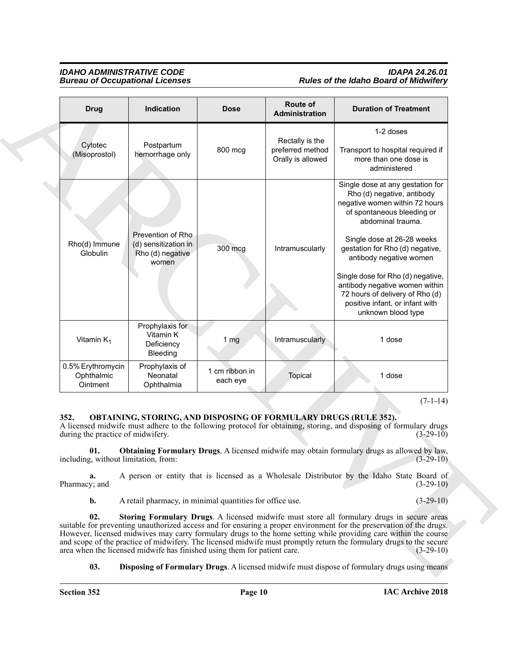### *IDAHO ADMINISTRATIVE CODE IDAPA 24.26.01* **Rules of the Idaho Board of Midwifery**

| <b>Bureau of Occupational Licenses</b>      |                                                                                                                                                      |                            |                                                          | <b>Rules of the Idaho Board of Midwifery</b>                                                                                                                                                                                                                                                                                                                                                                                                                                |  |  |
|---------------------------------------------|------------------------------------------------------------------------------------------------------------------------------------------------------|----------------------------|----------------------------------------------------------|-----------------------------------------------------------------------------------------------------------------------------------------------------------------------------------------------------------------------------------------------------------------------------------------------------------------------------------------------------------------------------------------------------------------------------------------------------------------------------|--|--|
| <b>Drug</b>                                 | Indication                                                                                                                                           | <b>Dose</b>                | Route of<br>Administration                               | <b>Duration of Treatment</b>                                                                                                                                                                                                                                                                                                                                                                                                                                                |  |  |
| Cytotec<br>(Misoprostol)                    | Postpartum<br>hemorrhage only                                                                                                                        | 800 mcg                    | Rectally is the<br>preferred method<br>Orally is allowed | 1-2 doses<br>Transport to hospital required if<br>more than one dose is<br>administered                                                                                                                                                                                                                                                                                                                                                                                     |  |  |
| Rho(d) Immune<br>Globulin                   | Prevention of Rho<br>(d) sensitization in<br>Rho (d) negative<br>women                                                                               | 300 mcg                    | Intramuscularly                                          | Single dose at any gestation for<br>Rho (d) negative, antibody<br>negative women within 72 hours<br>of spontaneous bleeding or<br>abdominal trauma.<br>Single dose at 26-28 weeks<br>gestation for Rho (d) negative,<br>antibody negative women                                                                                                                                                                                                                             |  |  |
|                                             |                                                                                                                                                      |                            |                                                          | Single dose for Rho (d) negative,<br>antibody negative women within<br>72 hours of delivery of Rho (d)<br>positive infant, or infant with<br>unknown blood type                                                                                                                                                                                                                                                                                                             |  |  |
| Vitamin $K_1$                               | Prophylaxis for<br>Vitamin K<br>Deficiency<br>Bleeding                                                                                               | 1 <sub>mg</sub>            | Intramuscularly                                          | 1 dose                                                                                                                                                                                                                                                                                                                                                                                                                                                                      |  |  |
| 0.5% Erythromycin<br>Ophthalmic<br>Ointment | Prophylaxis of<br>Neonatal<br>Ophthalmia                                                                                                             | 1 cm ribbon in<br>each eye | Topical                                                  | 1 dose                                                                                                                                                                                                                                                                                                                                                                                                                                                                      |  |  |
| 352.<br>01.                                 | <b>OBTAINING, STORING, AND DISPOSING OF FORMULARY DRUGS (RULE 352).</b><br>during the practice of midwifery.<br>including, without limitation, from: |                            |                                                          | $(7-1-14)$<br>A licensed midwife must adhere to the following protocol for obtaining, storing, and disposing of formulary drugs<br>$(3-29-10)$<br><b>Obtaining Formulary Drugs.</b> A licensed midwife may obtain formulary drugs as allowed by law,<br>$(3-29-10)$                                                                                                                                                                                                         |  |  |
| a.<br>Pharmacy; and                         |                                                                                                                                                      |                            |                                                          | A person or entity that is licensed as a Wholesale Distributor by the Idaho State Board of<br>$(3-29-10)$                                                                                                                                                                                                                                                                                                                                                                   |  |  |
| $\mathbf{b}$ .                              | A retail pharmacy, in minimal quantities for office use.                                                                                             |                            |                                                          | $(3-29-10)$                                                                                                                                                                                                                                                                                                                                                                                                                                                                 |  |  |
| 02.                                         | area when the licensed midwife has finished using them for patient care.                                                                             |                            |                                                          | Storing Formulary Drugs. A licensed midwife must store all formulary drugs in secure areas<br>suitable for preventing unauthorized access and for ensuring a proper environment for the preservation of the drugs.<br>However, licensed midwives may carry formulary drugs to the home setting while providing care within the course<br>and scope of the practice of midwifery. The licensed midwife must promptly return the formulary drugs to the secure<br>$(3-29-10)$ |  |  |
| 03.                                         |                                                                                                                                                      |                            |                                                          | <b>Disposing of Formulary Drugs.</b> A licensed midwife must dispose of formulary drugs using means                                                                                                                                                                                                                                                                                                                                                                         |  |  |
|                                             |                                                                                                                                                      |                            |                                                          |                                                                                                                                                                                                                                                                                                                                                                                                                                                                             |  |  |

### <span id="page-9-4"></span><span id="page-9-3"></span><span id="page-9-2"></span><span id="page-9-1"></span><span id="page-9-0"></span>**352. OBTAINING, STORING, AND DISPOSING OF FORMULARY DRUGS (RULE 352).**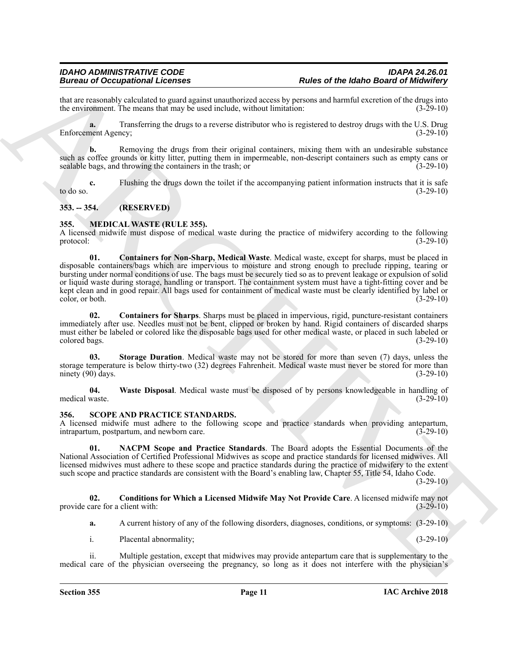that are reasonably calculated to guard against unauthorized access by persons and harmful excretion of the drugs into the environment. The means that may be used include, without limitation:  $(3-29-10)$ the environment. The means that may be used include, without limitation:

**a.** Transferring the drugs to a reverse distributor who is registered to destroy drugs with the U.S. Drug Enforcement Agency; (3-29-10)

**b.** Removing the drugs from their original containers, mixing them with an undesirable substance such as coffee grounds or kitty litter, putting them in impermeable, non-descript containers such as empty cans or sealable bags, and throwing the containers in the trash; or (3-29-10)

**c.** Flushing the drugs down the toilet if the accompanying patient information instructs that it is safe to do so.  $(3-29-10)$ 

### <span id="page-10-0"></span>**353. -- 354. (RESERVED)**

### <span id="page-10-3"></span><span id="page-10-1"></span>**355. MEDICAL WASTE (RULE 355).**

<span id="page-10-4"></span>A licensed midwife must dispose of medical waste during the practice of midwifery according to the following protocol:  $(3-29-10)$ 

Beative and Contemposition of the same of the basic of the basic of the basic of the basic of the basic of the basic of the basic of the basic of the basic of the basic of the basic of the basic of the particle in the sam **01. Containers for Non-Sharp, Medical Waste**. Medical waste, except for sharps, must be placed in disposable containers/bags which are impervious to moisture and strong enough to preclude ripping, tearing or bursting under normal conditions of use. The bags must be securely tied so as to prevent leakage or expulsion of solid or liquid waste during storage, handling or transport. The containment system must have a tight-fitting cover and be kept clean and in good repair. All bags used for containment of medical waste must be clearly identified by label or color, or both. (3-29-10) color, or both.

<span id="page-10-5"></span>**02. Containers for Sharps**. Sharps must be placed in impervious, rigid, puncture-resistant containers immediately after use. Needles must not be bent, clipped or broken by hand. Rigid containers of discarded sharps must either be labeled or colored like the disposable bags used for other medical waste, or placed in such labeled or colored bags. (3-29-10)

<span id="page-10-6"></span>**03. Storage Duration**. Medical waste may not be stored for more than seven (7) days, unless the storage temperature is below thirty-two (32) degrees Fahrenheit. Medical waste must never be stored for more than ninety (90) days. (3-29-10) ninety  $(90)$  days.

<span id="page-10-7"></span>**04. Waste Disposal**. Medical waste must be disposed of by persons knowledgeable in handling of medical waste.

### <span id="page-10-8"></span><span id="page-10-2"></span>**356. SCOPE AND PRACTICE STANDARDS.**

A licensed midwife must adhere to the following scope and practice standards when providing antepartum, intrapartum, postpartum, and newborn care. (3-29-10)

<span id="page-10-10"></span>**01. NACPM Scope and Practice Standards**. The Board adopts the Essential Documents of the National Association of Certified Professional Midwives as scope and practice standards for licensed midwives. All licensed midwives must adhere to these scope and practice standards during the practice of midwifery to the extent such scope and practice standards are consistent with the Board's enabling law, Chapter 55, Title 54, Idaho Code.

 $(3-29-10)$ 

**02. Conditions for Which a Licensed Midwife May Not Provide Care**. A licensed midwife may not care for a client with: (3-29-10) provide care for a client with:

<span id="page-10-9"></span>**a.** A current history of any of the following disorders, diagnoses, conditions, or symptoms: (3-29-10)

i. Placental abnormality; (3-29-10)

ii. Multiple gestation, except that midwives may provide antepartum care that is supplementary to the medical care of the physician overseeing the pregnancy, so long as it does not interfere with the physician's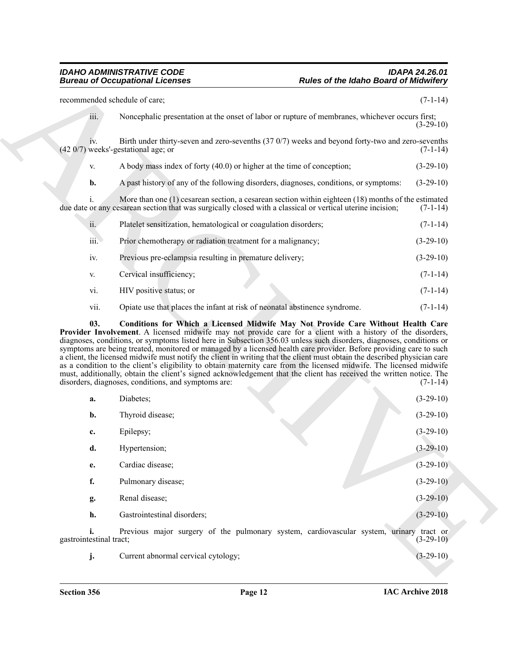**Example the Index of the Index Order Islands Development Contains and the Container of the United Section 2008<br>
Note that the Container of the Container of the Container of the Container of the Container of the Container** recommended schedule of care; (7-1-14) iii. Noncephalic presentation at the onset of labor or rupture of membranes, whichever occurs first; (3-29-10) iv. Birth under thirty-seven and zero-sevenths (37 0/7) weeks and beyond forty-two and zero-sevenths  $(42 0/7)$  weeks'-gestational age; or v. A body mass index of forty (40.0) or higher at the time of conception; (3-29-10) **b.** A past history of any of the following disorders, diagnoses, conditions, or symptoms:  $(3-29-10)$ i. More than one (1) cesarean section, a cesarean section within eighteen (18) months of the estimated due date or any cesarean section that was surgically closed with a classical or vertical uterine incision; (7-1-14) ii. Platelet sensitization, hematological or coagulation disorders; (7-1-14) iii. Prior chemotherapy or radiation treatment for a malignancy; (3-29-10) iv. Previous pre-eclampsia resulting in premature delivery; (3-29-10) v. Cervical insufficiency; (7-1-14) vi. HIV positive status; or (7-1-14)

<span id="page-11-0"></span>vii. Opiate use that places the infant at risk of neonatal abstinence syndrome. (7-1-14)

**03. Conditions for Which a Licensed Midwife May Not Provide Care Without Health Care Provider Involvement**. A licensed midwife may not provide care for a client with a history of the disorders, diagnoses, conditions, or symptoms listed here in Subsection 356.03 unless such disorders, diagnoses, conditions or symptoms are being treated, monitored or managed by a licensed health care provider. Before providing care to such a client, the licensed midwife must notify the client in writing that the client must obtain the described physician care as a condition to the client's eligibility to obtain maternity care from the licensed midwife. The licensed midwife must, additionally, obtain the client's signed acknowledgement that the client has received the written notice. The disorders, diagnoses, conditions, and symptoms are: (7-1-14) disorders, diagnoses, conditions, and symptoms are:

| a.                                      | Diabetes;                                                                               | $(3-29-10)$ |
|-----------------------------------------|-----------------------------------------------------------------------------------------|-------------|
| b.                                      | Thyroid disease;                                                                        | $(3-29-10)$ |
| c.                                      | Epilepsy;                                                                               | $(3-29-10)$ |
| d.                                      | Hypertension;                                                                           | $(3-29-10)$ |
| e.                                      | Cardiac disease;                                                                        | $(3-29-10)$ |
| f.                                      | Pulmonary disease;                                                                      | $(3-29-10)$ |
| g.                                      | Renal disease;                                                                          | $(3-29-10)$ |
| h.                                      | Gastrointestinal disorders;                                                             | $(3-29-10)$ |
| $\lambda$ $\lambda$ $\lambda$ $\lambda$ | Previous major surgery of the pulmonary system, cardiovascular system, urinary tract or | (2.20)      |

gastrointestinal tract; (3-29-1)

**j.** Current abnormal cervical cytology; (3-29-10) (3-29-10)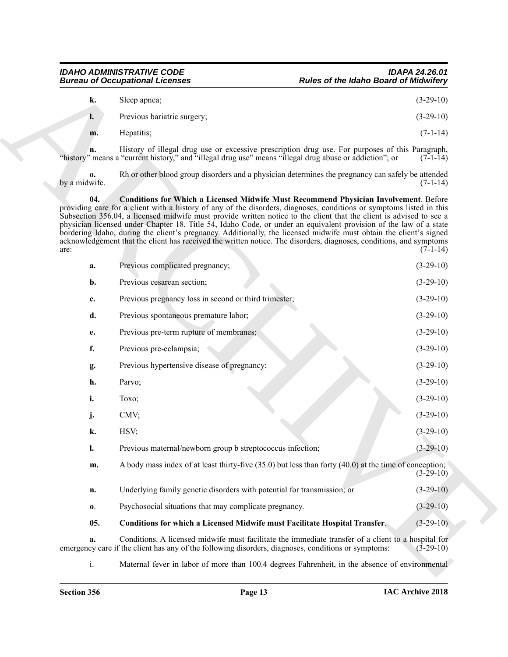### *IDAHO ADMINISTRATIVE CODE IDAPA 24.26.01* **Rules of the Idaho Board of Midwifery**

<span id="page-12-1"></span><span id="page-12-0"></span>

| k. | Sleep apnea;                | $(3-29-10)$ |
|----|-----------------------------|-------------|
| ı. | Previous bariatric surgery; | $(3-29-10)$ |
| m. | Hepatitis;                  | $(7-1-14)$  |

|                     | <b>Bureau of Occupational Licenses</b>                                                                  | <b>Rules of the Idaho Board of Midwifery</b>                                                                                                                                                                                                                                                                                                                                                                                                                                                                                                                                                                                                                                                                 |             |
|---------------------|---------------------------------------------------------------------------------------------------------|--------------------------------------------------------------------------------------------------------------------------------------------------------------------------------------------------------------------------------------------------------------------------------------------------------------------------------------------------------------------------------------------------------------------------------------------------------------------------------------------------------------------------------------------------------------------------------------------------------------------------------------------------------------------------------------------------------------|-------------|
| k.                  | Sleep apnea;                                                                                            |                                                                                                                                                                                                                                                                                                                                                                                                                                                                                                                                                                                                                                                                                                              | $(3-29-10)$ |
| l.                  | Previous bariatric surgery;                                                                             |                                                                                                                                                                                                                                                                                                                                                                                                                                                                                                                                                                                                                                                                                                              | $(3-29-10)$ |
| m.                  | Hepatitis;                                                                                              |                                                                                                                                                                                                                                                                                                                                                                                                                                                                                                                                                                                                                                                                                                              | $(7-1-14)$  |
| n.                  | "history" means a "current history," and "illegal drug use" means "illegal drug abuse or addiction"; or | History of illegal drug use or excessive prescription drug use. For purposes of this Paragraph,                                                                                                                                                                                                                                                                                                                                                                                                                                                                                                                                                                                                              | $(7-1-14)$  |
| 0.<br>by a midwife. |                                                                                                         | Rh or other blood group disorders and a physician determines the pregnancy can safely be attended                                                                                                                                                                                                                                                                                                                                                                                                                                                                                                                                                                                                            | $(7-1-14)$  |
| 04.<br>are:         |                                                                                                         | <b>Conditions for Which a Licensed Midwife Must Recommend Physician Involvement. Before</b><br>providing care for a client with a history of any of the disorders, diagnoses, conditions or symptoms listed in this<br>Subsection 356.04, a licensed midwife must provide written notice to the client that the client is advised to see a<br>physician licensed under Chapter 18, Title 54, Idaho Code, or under an equivalent provision of the law of a state<br>bordering Idaho, during the client's pregnancy. Additionally, the licensed midwife must obtain the client's signed<br>acknowledgement that the client has received the written notice. The disorders, diagnoses, conditions, and symptoms | $(7-1-14)$  |
| a.                  | Previous complicated pregnancy;                                                                         |                                                                                                                                                                                                                                                                                                                                                                                                                                                                                                                                                                                                                                                                                                              | $(3-29-10)$ |
| b.                  | Previous cesarean section;                                                                              |                                                                                                                                                                                                                                                                                                                                                                                                                                                                                                                                                                                                                                                                                                              | $(3-29-10)$ |
| c.                  | Previous pregnancy loss in second or third trimester;                                                   |                                                                                                                                                                                                                                                                                                                                                                                                                                                                                                                                                                                                                                                                                                              | $(3-29-10)$ |
| d.                  | Previous spontaneous premature labor;                                                                   |                                                                                                                                                                                                                                                                                                                                                                                                                                                                                                                                                                                                                                                                                                              | $(3-29-10)$ |
| e.                  | Previous pre-term rupture of membranes;                                                                 |                                                                                                                                                                                                                                                                                                                                                                                                                                                                                                                                                                                                                                                                                                              | $(3-29-10)$ |
| f.                  | Previous pre-eclampsia;                                                                                 |                                                                                                                                                                                                                                                                                                                                                                                                                                                                                                                                                                                                                                                                                                              | $(3-29-10)$ |
| g.                  | Previous hypertensive disease of pregnancy;                                                             |                                                                                                                                                                                                                                                                                                                                                                                                                                                                                                                                                                                                                                                                                                              | $(3-29-10)$ |
| h.                  | Parvo;                                                                                                  |                                                                                                                                                                                                                                                                                                                                                                                                                                                                                                                                                                                                                                                                                                              | $(3-29-10)$ |
| i.                  | Toxo;                                                                                                   |                                                                                                                                                                                                                                                                                                                                                                                                                                                                                                                                                                                                                                                                                                              | $(3-29-10)$ |
| j.                  | CMV;                                                                                                    |                                                                                                                                                                                                                                                                                                                                                                                                                                                                                                                                                                                                                                                                                                              | $(3-29-10)$ |
| k.                  | HSV;                                                                                                    |                                                                                                                                                                                                                                                                                                                                                                                                                                                                                                                                                                                                                                                                                                              | $(3-29-10)$ |
| I.                  | Previous maternal/newborn group b streptococcus infection;                                              |                                                                                                                                                                                                                                                                                                                                                                                                                                                                                                                                                                                                                                                                                                              | $(3-29-10)$ |
| m.                  |                                                                                                         | A body mass index of at least thirty-five (35.0) but less than forty (40.0) at the time of conception;                                                                                                                                                                                                                                                                                                                                                                                                                                                                                                                                                                                                       | $(3-29-10)$ |
| n.                  | Underlying family genetic disorders with potential for transmission; or                                 |                                                                                                                                                                                                                                                                                                                                                                                                                                                                                                                                                                                                                                                                                                              | $(3-29-10)$ |
| $\mathbf{0}$ .      | Psychosocial situations that may complicate pregnancy.                                                  |                                                                                                                                                                                                                                                                                                                                                                                                                                                                                                                                                                                                                                                                                                              | $(3-29-10)$ |
| 05.                 | <b>Conditions for which a Licensed Midwife must Facilitate Hospital Transfer.</b>                       |                                                                                                                                                                                                                                                                                                                                                                                                                                                                                                                                                                                                                                                                                                              | $(3-29-10)$ |
| a.                  | emergency care if the client has any of the following disorders, diagnoses, conditions or symptoms:     | Conditions. A licensed midwife must facilitate the immediate transfer of a client to a hospital for                                                                                                                                                                                                                                                                                                                                                                                                                                                                                                                                                                                                          | $(3-29-10)$ |
| i.                  |                                                                                                         | Maternal fever in labor of more than 100.4 degrees Fahrenheit, in the absence of environmental                                                                                                                                                                                                                                                                                                                                                                                                                                                                                                                                                                                                               |             |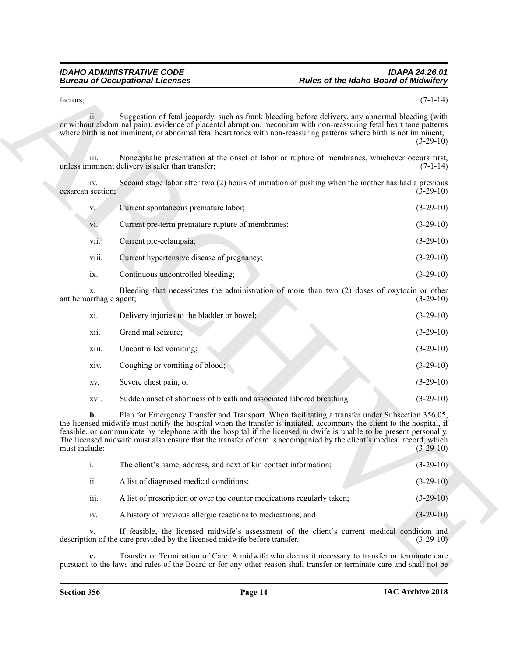### *IDAHO ADMINISTRATIVE CODE IDAPA 24.26.01* **Rules of the Idaho Board of Midwifery**

| V.    | Current spontaneous premature labor;             | $(3-29-10)$ |
|-------|--------------------------------------------------|-------------|
| vi.   | Current pre-term premature rupture of membranes; | $(3-29-10)$ |
| vii.  | Current pre-eclampsia;                           | $(3-29-10)$ |
| viii. | Current hypertensive disease of pregnancy;       | $(3-29-10)$ |
| 1X.   | Continuous uncontrolled bleeding;                | $(3-29-10)$ |

| factors;                     |                                                                           |                                                                                                                                                                                                                                                                                                                                                                                                                                                                           | $(7-1-14)$  |
|------------------------------|---------------------------------------------------------------------------|---------------------------------------------------------------------------------------------------------------------------------------------------------------------------------------------------------------------------------------------------------------------------------------------------------------------------------------------------------------------------------------------------------------------------------------------------------------------------|-------------|
| ii.                          |                                                                           | Suggestion of fetal jeopardy, such as frank bleeding before delivery, any abnormal bleeding (with<br>or without abdominal pain), evidence of placental abruption, meconium with non-reassuring fetal heart tone patterns                                                                                                                                                                                                                                                  |             |
|                              |                                                                           | where birth is not imminent, or abnormal fetal heart tones with non-reassuring patterns where birth is not imminent;                                                                                                                                                                                                                                                                                                                                                      | $(3-29-10)$ |
| 111.                         | unless imminent delivery is safer than transfer;                          | Noncephalic presentation at the onset of labor or rupture of membranes, whichever occurs first,                                                                                                                                                                                                                                                                                                                                                                           | $(7-1-14)$  |
| iv.<br>cesarean section;     |                                                                           | Second stage labor after two (2) hours of initiation of pushing when the mother has had a previous                                                                                                                                                                                                                                                                                                                                                                        | $(3-29-10)$ |
| V.                           | Current spontaneous premature labor;                                      |                                                                                                                                                                                                                                                                                                                                                                                                                                                                           | $(3-29-10)$ |
| vi.                          | Current pre-term premature rupture of membranes;                          |                                                                                                                                                                                                                                                                                                                                                                                                                                                                           | $(3-29-10)$ |
| vii.                         | Current pre-eclampsia;                                                    |                                                                                                                                                                                                                                                                                                                                                                                                                                                                           | $(3-29-10)$ |
| viii.                        | Current hypertensive disease of pregnancy;                                |                                                                                                                                                                                                                                                                                                                                                                                                                                                                           | $(3-29-10)$ |
| ix.                          | Continuous uncontrolled bleeding;                                         |                                                                                                                                                                                                                                                                                                                                                                                                                                                                           | $(3-29-10)$ |
| X.<br>antihemorrhagic agent; |                                                                           | Bleeding that necessitates the administration of more than two (2) doses of oxytocin or other                                                                                                                                                                                                                                                                                                                                                                             | $(3-29-10)$ |
| xi.                          | Delivery injuries to the bladder or bowel;                                |                                                                                                                                                                                                                                                                                                                                                                                                                                                                           | $(3-29-10)$ |
| xii.                         | Grand mal seizure;                                                        |                                                                                                                                                                                                                                                                                                                                                                                                                                                                           | $(3-29-10)$ |
| xiii.                        | Uncontrolled vomiting;                                                    |                                                                                                                                                                                                                                                                                                                                                                                                                                                                           | $(3-29-10)$ |
| xiv.                         | Coughing or vomiting of blood;                                            |                                                                                                                                                                                                                                                                                                                                                                                                                                                                           | $(3-29-10)$ |
| XV.                          | Severe chest pain; or                                                     |                                                                                                                                                                                                                                                                                                                                                                                                                                                                           | $(3-29-10)$ |
| XVI.                         | Sudden onset of shortness of breath and associated labored breathing.     |                                                                                                                                                                                                                                                                                                                                                                                                                                                                           | $(3-29-10)$ |
| b.<br>must include:          |                                                                           | Plan for Emergency Transfer and Transport. When facilitating a transfer under Subsection 356.05,<br>the licensed midwife must notify the hospital when the transfer is initiated, accompany the client to the hospital, if<br>feasible, or communicate by telephone with the hospital if the licensed midwife is unable to be present personally.<br>The licensed midwife must also ensure that the transfer of care is accompanied by the client's medical record, which | $(3-29-10)$ |
| i.                           | The client's name, address, and next of kin contact information;          |                                                                                                                                                                                                                                                                                                                                                                                                                                                                           | $(3-29-10)$ |
| ii.                          | A list of diagnosed medical conditions;                                   |                                                                                                                                                                                                                                                                                                                                                                                                                                                                           | $(3-29-10)$ |
| iii.                         | A list of prescription or over the counter medications regularly taken;   |                                                                                                                                                                                                                                                                                                                                                                                                                                                                           | $(3-29-10)$ |
| iv.                          | A history of previous allergic reactions to medications; and              |                                                                                                                                                                                                                                                                                                                                                                                                                                                                           | $(3-29-10)$ |
| V.                           | description of the care provided by the licensed midwife before transfer. | If feasible, the licensed midwife's assessment of the client's current medical condition and                                                                                                                                                                                                                                                                                                                                                                              | $(3-29-10)$ |
| c.                           |                                                                           | Transfer or Termination of Care. A midwife who deems it necessary to transfer or terminate care<br>pursuant to the laws and rules of the Board or for any other reason shall transfer or terminate care and shall not be                                                                                                                                                                                                                                                  |             |

| 1.   | The client's name, address, and next of kin contact information;        | $(3-29-10)$ |
|------|-------------------------------------------------------------------------|-------------|
| ii.  | A list of diagnosed medical conditions;                                 | $(3-29-10)$ |
| iii. | A list of prescription or over the counter medications regularly taken; | $(3-29-10)$ |
| iv.  | A history of previous allergic reactions to medications; and            | $(3-29-10)$ |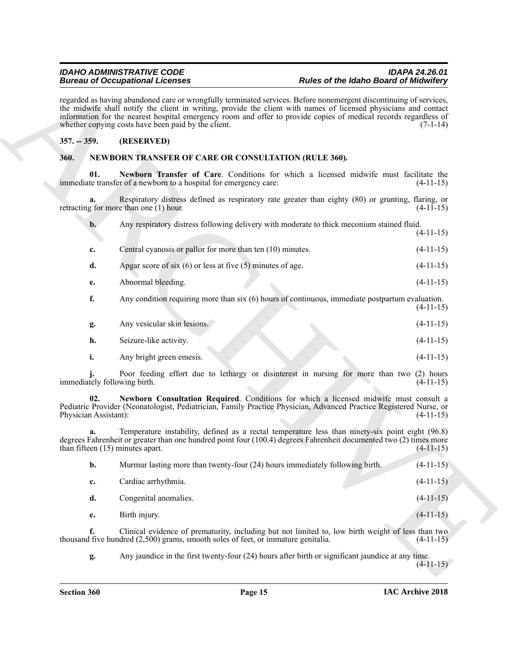### <span id="page-14-0"></span>**357. -- 359. (RESERVED)**

### <span id="page-14-4"></span><span id="page-14-2"></span><span id="page-14-1"></span>**360. NEWBORN TRANSFER OF CARE OR CONSULTATION (RULE 360).**

|                                                                                                                                                                                                                                                                                                                                                                                                                   | <b>Bureau of Occupational Licenses</b>                                            | <b>Rules of the Idaho Board of Midwifery</b>                                                                                                                                                                           |             |  |
|-------------------------------------------------------------------------------------------------------------------------------------------------------------------------------------------------------------------------------------------------------------------------------------------------------------------------------------------------------------------------------------------------------------------|-----------------------------------------------------------------------------------|------------------------------------------------------------------------------------------------------------------------------------------------------------------------------------------------------------------------|-------------|--|
| regarded as having abandoned care or wrongfully terminated services. Before nonemergent discontinuing of services,<br>the midwife shall notify the client in writing, provide the client with names of licensed physicians and contact<br>information for the nearest hospital emergency room and offer to provide copies of medical records regardless of<br>whether copying costs have been paid by the client. |                                                                                   |                                                                                                                                                                                                                        | $(7-1-14)$  |  |
| $357. - 359.$                                                                                                                                                                                                                                                                                                                                                                                                     | (RESERVED)                                                                        |                                                                                                                                                                                                                        |             |  |
| 360.                                                                                                                                                                                                                                                                                                                                                                                                              | <b>NEWBORN TRANSFER OF CARE OR CONSULTATION (RULE 360).</b>                       |                                                                                                                                                                                                                        |             |  |
| 01.                                                                                                                                                                                                                                                                                                                                                                                                               | immediate transfer of a newborn to a hospital for emergency care:                 | Newborn Transfer of Care. Conditions for which a licensed midwife must facilitate the                                                                                                                                  | $(4-11-15)$ |  |
| a.                                                                                                                                                                                                                                                                                                                                                                                                                | retracting for more than one $(1)$ hour.                                          | Respiratory distress defined as respiratory rate greater than eighty (80) or grunting, flaring, or                                                                                                                     | $(4-11-15)$ |  |
| $\mathbf{b}$ .                                                                                                                                                                                                                                                                                                                                                                                                    |                                                                                   | Any respiratory distress following delivery with moderate to thick meconium stained fluid.                                                                                                                             | $(4-11-15)$ |  |
| c.                                                                                                                                                                                                                                                                                                                                                                                                                | Central cyanosis or pallor for more than ten (10) minutes.                        |                                                                                                                                                                                                                        | $(4-11-15)$ |  |
| d.                                                                                                                                                                                                                                                                                                                                                                                                                | Apgar score of six $(6)$ or less at five $(5)$ minutes of age.                    |                                                                                                                                                                                                                        | $(4-11-15)$ |  |
| e.                                                                                                                                                                                                                                                                                                                                                                                                                | Abnormal bleeding.                                                                |                                                                                                                                                                                                                        | $(4-11-15)$ |  |
| f.                                                                                                                                                                                                                                                                                                                                                                                                                |                                                                                   | Any condition requiring more than $six(6)$ hours of continuous, immediate postpartum evaluation.                                                                                                                       | $(4-11-15)$ |  |
| g.                                                                                                                                                                                                                                                                                                                                                                                                                | Any vesicular skin lesions.                                                       |                                                                                                                                                                                                                        | $(4-11-15)$ |  |
| h.                                                                                                                                                                                                                                                                                                                                                                                                                | Seizure-like activity.                                                            |                                                                                                                                                                                                                        | $(4-11-15)$ |  |
| i.                                                                                                                                                                                                                                                                                                                                                                                                                | Any bright green emesis.                                                          |                                                                                                                                                                                                                        | $(4-11-15)$ |  |
| immediately following birth.                                                                                                                                                                                                                                                                                                                                                                                      |                                                                                   | Poor feeding effort due to lethargy or disinterest in nursing for more than two (2) hours                                                                                                                              | $(4-11-15)$ |  |
| 02.<br>Physician Assistant):                                                                                                                                                                                                                                                                                                                                                                                      |                                                                                   | Newborn Consultation Required. Conditions for which a licensed midwife must consult a<br>Pediatric Provider (Neonatologist, Pediatrician, Family Practice Physician, Advanced Practice Registered Nurse, or            | $(4-11-15)$ |  |
|                                                                                                                                                                                                                                                                                                                                                                                                                   | than fifteen $(15)$ minutes apart.                                                | Temperature instability, defined as a rectal temperature less than ninety-six point eight (96.8)<br>degrees Fahrenheit or greater than one hundred point four (100.4) degrees Fahrenheit documented two (2) times more | $(4-11-15)$ |  |
| b.                                                                                                                                                                                                                                                                                                                                                                                                                |                                                                                   | Murmur lasting more than twenty-four (24) hours immediately following birth.                                                                                                                                           | $(4-11-15)$ |  |
| c.                                                                                                                                                                                                                                                                                                                                                                                                                | Cardiac arrhythmia.                                                               |                                                                                                                                                                                                                        | $(4-11-15)$ |  |
| d.                                                                                                                                                                                                                                                                                                                                                                                                                | Congenital anomalies.                                                             |                                                                                                                                                                                                                        | $(4-11-15)$ |  |
| e.                                                                                                                                                                                                                                                                                                                                                                                                                | Birth injury.                                                                     |                                                                                                                                                                                                                        | $(4-11-15)$ |  |
| f.                                                                                                                                                                                                                                                                                                                                                                                                                | thousand five hundred (2,500) grams, smooth soles of feet, or immature genitalia. | Clinical evidence of prematurity, including but not limited to, low birth weight of less than two                                                                                                                      | $(4-11-15)$ |  |
|                                                                                                                                                                                                                                                                                                                                                                                                                   |                                                                                   |                                                                                                                                                                                                                        |             |  |

<span id="page-14-3"></span>

| b. | Murmur lasting more than twenty-four (24) hours immediately following birth. | $(4-11-15)$ |
|----|------------------------------------------------------------------------------|-------------|
| c. | Cardiac arrhythmia.                                                          | $(4-11-15)$ |
|    | Congenital anomalies.                                                        | $(4-11-15)$ |
| e. | Birth injury.                                                                | $(4-11-15)$ |
|    |                                                                              |             |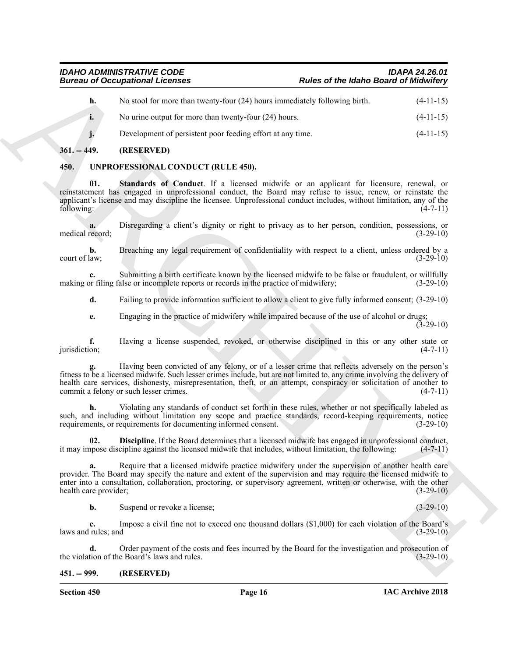| <b>Bureau of Occupational Licenses</b> |                                                                                                                                                                                                                                                                                                                                                                                                 | <b>Rules of the Idaho Board of Midwifery</b> |               |
|----------------------------------------|-------------------------------------------------------------------------------------------------------------------------------------------------------------------------------------------------------------------------------------------------------------------------------------------------------------------------------------------------------------------------------------------------|----------------------------------------------|---------------|
| h.                                     | No stool for more than twenty-four (24) hours immediately following birth.                                                                                                                                                                                                                                                                                                                      |                                              | $(4-11-15)$   |
| i.                                     | No urine output for more than twenty-four (24) hours.                                                                                                                                                                                                                                                                                                                                           |                                              | $(4-11-15)$   |
|                                        | Development of persistent poor feeding effort at any time.                                                                                                                                                                                                                                                                                                                                      |                                              | $(4-11-15)$   |
| $361. - 449.$                          | (RESERVED)                                                                                                                                                                                                                                                                                                                                                                                      |                                              |               |
| 450.                                   | UNPROFESSIONAL CONDUCT (RULE 450).                                                                                                                                                                                                                                                                                                                                                              |                                              |               |
| 01.<br>following:                      | Standards of Conduct. If a licensed midwife or an applicant for licensure, renewal, or<br>reinstatement has engaged in unprofessional conduct, the Board may refuse to issue, renew, or reinstate the<br>applicant's license and may discipline the licensee. Unprofessional conduct includes, without limitation, any of the                                                                   |                                              | $(4-7-11)$    |
| medical record;                        | Disregarding a client's dignity or right to privacy as to her person, condition, possessions, or                                                                                                                                                                                                                                                                                                |                                              | $(3-29-10)$   |
| b.<br>court of law;                    | Breaching any legal requirement of confidentiality with respect to a client, unless ordered by a                                                                                                                                                                                                                                                                                                |                                              | $(3-29-10)$   |
|                                        | Submitting a birth certificate known by the licensed midwife to be false or fraudulent, or willfully<br>making or filing false or incomplete reports or records in the practice of midwifery;                                                                                                                                                                                                   |                                              | $(3-29-10)$   |
| d.                                     | Failing to provide information sufficient to allow a client to give fully informed consent; (3-29-10)                                                                                                                                                                                                                                                                                           |                                              |               |
| e.                                     | Engaging in the practice of midwifery while impaired because of the use of alcohol or drugs;                                                                                                                                                                                                                                                                                                    |                                              | $(3-29-10)$   |
| f.<br>jurisdiction;                    | Having a license suspended, revoked, or otherwise disciplined in this or any other state or                                                                                                                                                                                                                                                                                                     |                                              | $(4-7-11)$    |
|                                        | Having been convicted of any felony, or of a lesser crime that reflects adversely on the person's<br>fitness to be a licensed midwife. Such lesser crimes include, but are not limited to, any crime involving the delivery of<br>health care services, dishonesty, misrepresentation, theft, or an attempt, conspiracy or solicitation of another to<br>commit a felony or such lesser crimes. |                                              | $(4-7-11)$    |
| h.                                     | Violating any standards of conduct set forth in these rules, whether or not specifically labeled as<br>such, and including without limitation any scope and practice standards, record-keeping requirements, notice<br>requirements, or requirements for documenting informed consent.                                                                                                          |                                              | $(3-29-10)$   |
| 02.                                    | <b>Discipline.</b> If the Board determines that a licensed midwife has engaged in unprofessional conduct,<br>it may impose discipline against the licensed midwife that includes, without limitation, the following:                                                                                                                                                                            |                                              | $(4 - / -11)$ |
| a.<br>health care provider;            | Require that a licensed midwife practice midwifery under the supervision of another health care<br>provider. The Board may specify the nature and extent of the supervision and may require the licensed midwife to<br>enter into a consultation, collaboration, proctoring, or supervisory agreement, written or otherwise, with the other                                                     |                                              | $(3-29-10)$   |
| b.                                     | Suspend or revoke a license;                                                                                                                                                                                                                                                                                                                                                                    |                                              | $(3-29-10)$   |
| c.<br>laws and rules; and              | Impose a civil fine not to exceed one thousand dollars (\$1,000) for each violation of the Board's                                                                                                                                                                                                                                                                                              |                                              | $(3-29-10)$   |
| d.                                     | Order payment of the costs and fees incurred by the Board for the investigation and prosecution of<br>the violation of the Board's laws and rules.                                                                                                                                                                                                                                              |                                              | $(3-29-10)$   |
| $451. - 999.$                          | (RESERVED)                                                                                                                                                                                                                                                                                                                                                                                      |                                              |               |

### <span id="page-15-5"></span><span id="page-15-3"></span><span id="page-15-1"></span><span id="page-15-0"></span>**450. UNPROFESSIONAL CONDUCT (RULE 450).**

### <span id="page-15-4"></span><span id="page-15-2"></span>**451. -- 999. (RESERVED)**

**Section 450 Page 16**